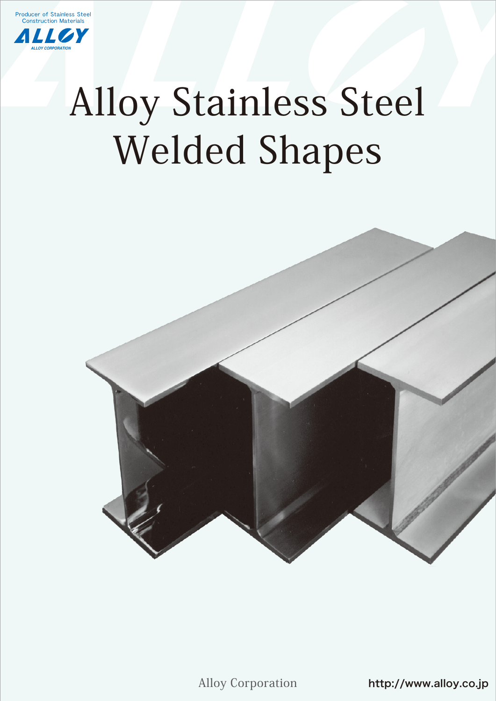

*ALLOY CORPORATION*

# Alloy Stainless Steel Welded Shapes



Alloy Corporation

http://www.alloy.co.jp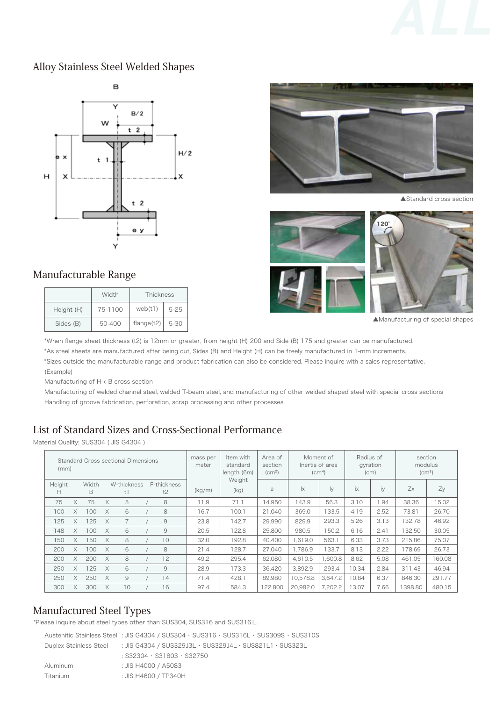

#### Alloy Stainless Steel Welded Shapes



#### Manufacturable Range

|            | Width   | Thickness  |          |  |  |
|------------|---------|------------|----------|--|--|
| Height (H) | 75-1100 | web(t1)    | $5-25$   |  |  |
| Sides (B)  | 50-400  | flange(t2) | $5 - 30$ |  |  |



▲Standard cross section



▲Manufacturing of special shapes

\*When flange sheet thickness (t2) is 12mm or greater, from height (H) 200 and Side (B) 175 and greater can be manufactured. \*As steel sheets are manufactured after being cut, Sides (B) and Height (H) can be freely manufactured in 1-mm increments. \*Sizes outside the manufacturable range and product fabrication can also be considered. Please inquire with a sales representative. (Example)

Manufacturing of H < B cross section

Manufacturing of welded channel steel, welded T-beam steel, and manufacturing of other welded shaped steel with special cross sections Handling of groove fabrication, perforation, scrap processing and other processes

## List of Standard Sizes and Cross-Sectional Performance

Material Quality: SUS304 ( JIS G4304 )

| (mm)        |          |            |          | <b>Standard Cross-sectional Dimensions</b> |                   | mass per<br>meter | Item with<br>standard<br>length (6m) | Area of<br>section<br>(cm <sup>2</sup> ) |                    | Moment of<br>Inertia of area<br>(cm <sup>4</sup> ) | Radius of<br>gyration<br>(cm) |      | section<br>modulus<br>$\rm (cm^3)$ |        |
|-------------|----------|------------|----------|--------------------------------------------|-------------------|-------------------|--------------------------------------|------------------------------------------|--------------------|----------------------------------------------------|-------------------------------|------|------------------------------------|--------|
| Height<br>н |          | Width<br>B |          | W-thickness<br>t1                          | F-thickness<br>t2 | (kg/m)            | Weight<br>(kg)                       | a                                        | $\mathsf{I}\times$ | Iу                                                 | ix                            | iy   | Zx                                 | Zy     |
| 75          | $\times$ | 75         | $\times$ | 5                                          | 8                 | 11.9              | 71.1                                 | 14.950                                   | 143.9              | 56.3                                               | 3.10                          | 1.94 | 38.36                              | 15.02  |
| 100         | X        | 100        | $\times$ | 6                                          | 8                 | 16.7              | 100.1                                | 21.040                                   | 369.0              | 133.5                                              | 4.19                          | 2.52 | 73.81                              | 26.70  |
| 125         | $\times$ | 125        | $\times$ | $\overline{7}$                             | 9                 | 23.8              | 142.7                                | 29.990                                   | 829.9              | 293.3                                              | 5.26                          | 3.13 | 132.78                             | 46.92  |
| 148         | X        | 100        | $\times$ | 6                                          | 9                 | 20.5              | 122.8                                | 25,800                                   | 980.5              | 150.2                                              | 6.16                          | 2.41 | 132.50                             | 30.05  |
| 150         | $\times$ | 150        | $\times$ | 8                                          | 10                | 32.0              | 192.8                                | 40.400                                   | 1.619.0            | 563.1                                              | 6.33                          | 3.73 | 215.86                             | 75.07  |
| 200         | X        | 100        | $\times$ | 6                                          | 8                 | 21.4              | 128.7                                | 27.040                                   | 1.786.9            | 133.7                                              | 8.13                          | 2.22 | 178.69                             | 26.73  |
| 200         | $\times$ | 200        | $\times$ | 8                                          | 12                | 49.2              | 295.4                                | 62.080                                   | 4.610.5            | 1.600.8                                            | 8.62                          | 5.08 | 461.05                             | 160.08 |
| 250         | X        | 125        | $\times$ | 6                                          | 9                 | 28.9              | 173.3                                | 36.420                                   | 3.892.9            | 293.4                                              | 10.34                         | 2.84 | 311.43                             | 46.94  |
| 250         | $\times$ | 250        | $\times$ | 9                                          | 14                | 71.4              | 428.1                                | 89.980                                   | 10.578.8           | 3.647.2                                            | 10.84                         | 6.37 | 846.30                             | 291.77 |
| 300         | X        | 300        | $\times$ | 10                                         | 16                | 97.4              | 584.3                                | 122.800                                  | 20.982.0           | 7.202.2                                            | 13.07                         | 7.66 | 398.80                             | 480.15 |

## Manufactured Steel Types

\*Please inquire about steel types other than SUS304, SUS316 and SUS316L.

|                        | Austenitic Stainless Steel : JIS G4304 / SUS304 · SUS316 · SUS316L · SUS309S · SUS310S |
|------------------------|----------------------------------------------------------------------------------------|
| Duplex Stainless Steel | $\pm$ JIS G4304 / SUS329J3L $\cdot$ SUS329J4L $\cdot$ SUS821L1 $\cdot$ SUS323L         |
|                        | $:$ S32304 $\cdot$ S31803 $\cdot$ S32750                                               |
| Aluminum               | : JIS H4000 / A5083                                                                    |
| Titanium               | : JIS H4600 / TP340H                                                                   |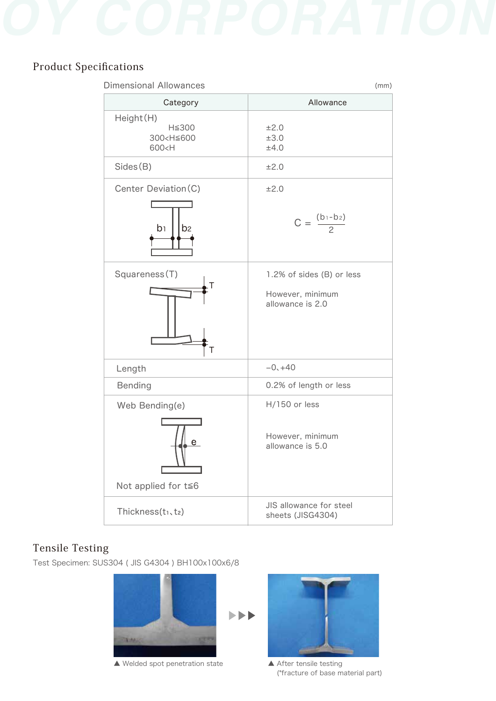

# Product Specifications

| <b>Dimensional Allowances</b>                                                                    | (mm)                                                              |  |  |  |  |  |
|--------------------------------------------------------------------------------------------------|-------------------------------------------------------------------|--|--|--|--|--|
| Category                                                                                         | Allowance                                                         |  |  |  |  |  |
| Height(H)<br>H≦300<br>300 <h≦600<br>600<h< td=""><td>±2.0<br/>±3.0<br/>±4.0</td></h<></h≦600<br> | ±2.0<br>±3.0<br>±4.0                                              |  |  |  |  |  |
| Sides(B)                                                                                         | ±2.0                                                              |  |  |  |  |  |
| Center Deviation(C)<br>$b_1$<br>b <sub>2</sub>                                                   | ±2.0<br>$C = \frac{(b_1 - b_2)}{2}$                               |  |  |  |  |  |
| Squareness(T)<br>Τ                                                                               | 1.2% of sides (B) or less<br>However, minimum<br>allowance is 2.0 |  |  |  |  |  |
| Length                                                                                           | $-0, +40$                                                         |  |  |  |  |  |
| <b>Bending</b>                                                                                   | 0.2% of length or less                                            |  |  |  |  |  |
| Web Bending(e)<br>e<br>Not applied for $t \leq 6$                                                | $H/150$ or less<br>However, minimum<br>allowance is 5.0           |  |  |  |  |  |
| Thickness(t1, t2)                                                                                | JIS allowance for steel<br>sheets (JISG4304)                      |  |  |  |  |  |

# Tensile Testing

Test Specimen: SUS304 ( JIS G4304 ) BH100x100x6/8



▲ Welded spot penetration state △ After tensile testing



(\*fracture of base material part)